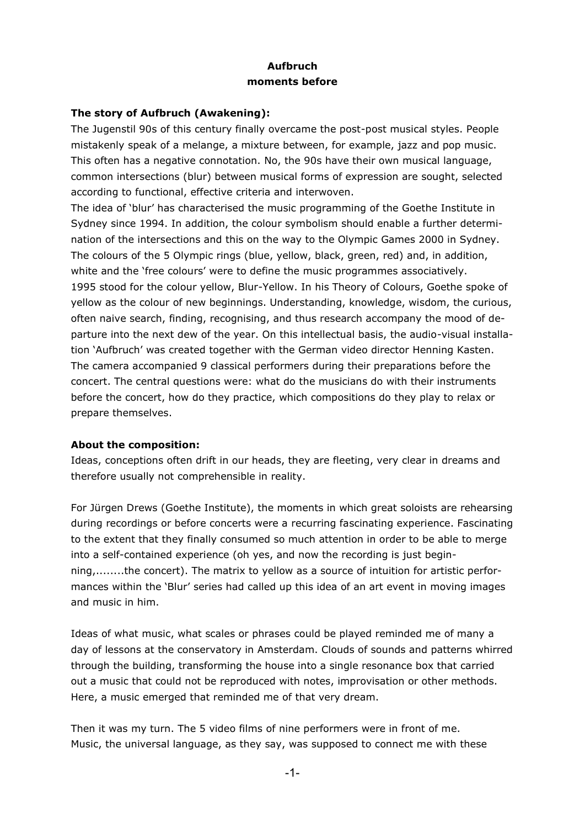## **Aufbruch moments before**

## **The story of Aufbruch (Awakening):**

The Jugenstil 90s of this century finally overcame the post-post musical styles. People mistakenly speak of a melange, a mixture between, for example, jazz and pop music. This often has a negative connotation. No, the 90s have their own musical language, common intersections (blur) between musical forms of expression are sought, selected according to functional, effective criteria and interwoven.

The idea of 'blur' has characterised the music programming of the Goethe Institute in Sydney since 1994. In addition, the colour symbolism should enable a further determination of the intersections and this on the way to the Olympic Games 2000 in Sydney. The colours of the 5 Olympic rings (blue, yellow, black, green, red) and, in addition, white and the 'free colours' were to define the music programmes associatively. 1995 stood for the colour yellow, Blur-Yellow. In his Theory of Colours, Goethe spoke of yellow as the colour of new beginnings. Understanding, knowledge, wisdom, the curious, often naive search, finding, recognising, and thus research accompany the mood of departure into the next dew of the year. On this intellectual basis, the audio-visual installation 'Aufbruch' was created together with the German video director Henning Kasten. The camera accompanied 9 classical performers during their preparations before the concert. The central questions were: what do the musicians do with their instruments before the concert, how do they practice, which compositions do they play to relax or prepare themselves.

## **About the composition:**

Ideas, conceptions often drift in our heads, they are fleeting, very clear in dreams and therefore usually not comprehensible in reality.

For Jürgen Drews (Goethe Institute), the moments in which great soloists are rehearsing during recordings or before concerts were a recurring fascinating experience. Fascinating to the extent that they finally consumed so much attention in order to be able to merge into a self-contained experience (oh yes, and now the recording is just beginning,........the concert). The matrix to yellow as a source of intuition for artistic performances within the 'Blur' series had called up this idea of an art event in moving images and music in him.

Ideas of what music, what scales or phrases could be played reminded me of many a day of lessons at the conservatory in Amsterdam. Clouds of sounds and patterns whirred through the building, transforming the house into a single resonance box that carried out a music that could not be reproduced with notes, improvisation or other methods. Here, a music emerged that reminded me of that very dream.

Then it was my turn. The 5 video films of nine performers were in front of me. Music, the universal language, as they say, was supposed to connect me with these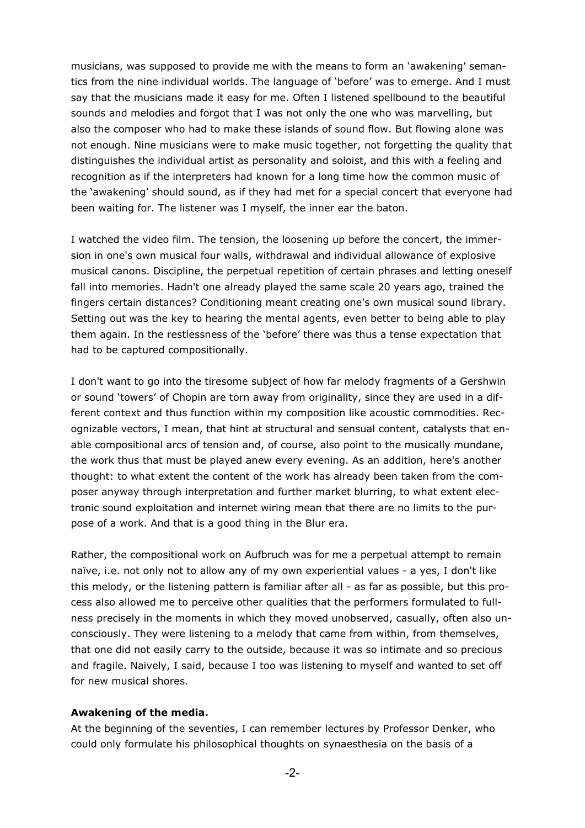musicians, was supposed to provide me with the means to form an 'awakening' semantics from the nine individual worlds. The language of 'before' was to emerge. And I must say that the musicians made it easy for me. Often I listened spellbound to the beautiful sounds and melodies and forgot that I was not only the one who was marvelling, but also the composer who had to make these islands of sound flow. But flowing alone was not enough. Nine musicians were to make music together, not forgetting the quality that distinguishes the individual artist as personality and soloist, and this with a feeling and recognition as if the interpreters had known for a long time how the common music of the 'awakening' should sound, as if they had met for a special concert that everyone had been waiting for. The listener was I myself, the inner ear the baton.

I watched the video film. The tension, the loosening up before the concert, the immersion in one's own musical four walls, withdrawal and individual allowance of explosive musical canons. Discipline, the perpetual repetition of certain phrases and letting oneself fall into memories. Hadn't one already played the same scale 20 years ago, trained the fingers certain distances? Conditioning meant creating one's own musical sound library. Setting out was the key to hearing the mental agents, even better to being able to play them again. In the restlessness of the 'before' there was thus a tense expectation that had to be captured compositionally.

I don't want to go into the tiresome subject of how far melody fragments of a Gershwin or sound 'towers' of Chopin are torn away from originality, since they are used in a different context and thus function within my composition like acoustic commodities. Recognizable vectors, I mean, that hint at structural and sensual content, catalysts that enable compositional arcs of tension and, of course, also point to the musically mundane, the work thus that must be played anew every evening. As an addition, here's another thought: to what extent the content of the work has already been taken from the composer anyway through interpretation and further market blurring, to what extent electronic sound exploitation and internet wiring mean that there are no limits to the purpose of a work. And that is a good thing in the Blur era.

Rather, the compositional work on Aufbruch was for me a perpetual attempt to remain naïve, i.e. not only not to allow any of my own experiential values - a yes, I don't like this melody, or the listening pattern is familiar after all - as far as possible, but this process also allowed me to perceive other qualities that the performers formulated to fullness precisely in the moments in which they moved unobserved, casually, often also unconsciously. They were listening to a melody that came from within, from themselves, that one did not easily carry to the outside, because it was so intimate and so precious and fragile. Naively, I said, because I too was listening to myself and wanted to set off for new musical shores.

## **Awakening of the media.**

At the beginning of the seventies, I can remember lectures by Professor Denker, who could only formulate his philosophical thoughts on synaesthesia on the basis of a